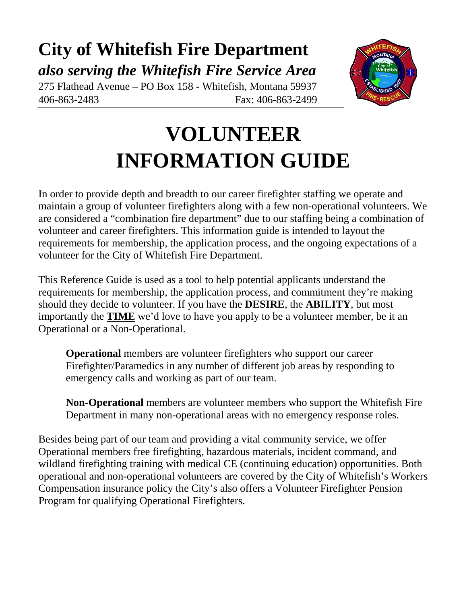# **City of Whitefish Fire Department** *also serving the Whitefish Fire Service Area*

275 Flathead Avenue – PO Box 158 - Whitefish, Montana 59937 406-863-2483 Fax: 406-863-2499



# **VOLUNTEER INFORMATION GUIDE**

In order to provide depth and breadth to our career firefighter staffing we operate and maintain a group of volunteer firefighters along with a few non-operational volunteers. We are considered a "combination fire department" due to our staffing being a combination of volunteer and career firefighters. This information guide is intended to layout the requirements for membership, the application process, and the ongoing expectations of a volunteer for the City of Whitefish Fire Department.

This Reference Guide is used as a tool to help potential applicants understand the requirements for membership, the application process, and commitment they're making should they decide to volunteer. If you have the **DESIRE**, the **ABILITY**, but most importantly the **TIME** we'd love to have you apply to be a volunteer member, be it an Operational or a Non-Operational.

**Operational** members are volunteer firefighters who support our career Firefighter/Paramedics in any number of different job areas by responding to emergency calls and working as part of our team.

**Non-Operational** members are volunteer members who support the Whitefish Fire Department in many non-operational areas with no emergency response roles.

Besides being part of our team and providing a vital community service, we offer Operational members free firefighting, hazardous materials, incident command, and wildland firefighting training with medical CE (continuing education) opportunities. Both operational and non-operational volunteers are covered by the City of Whitefish's Workers Compensation insurance policy the City's also offers a Volunteer Firefighter Pension Program for qualifying Operational Firefighters.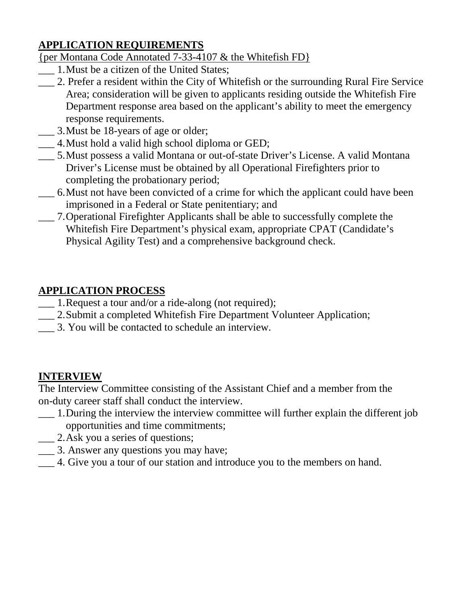## **APPLICATION REQUIREMENTS**

#### {per Montana Code Annotated 7-33-4107 & the Whitefish FD}

- \_\_\_ 1.Must be a citizen of the United States;
- \_\_\_ 2. Prefer a resident within the City of Whitefish or the surrounding Rural Fire Service Area; consideration will be given to applicants residing outside the Whitefish Fire Department response area based on the applicant's ability to meet the emergency response requirements.
- \_\_\_ 3.Must be 18-years of age or older;
- \_\_\_ 4.Must hold a valid high school diploma or GED;
- \_\_\_ 5.Must possess a valid Montana or out-of-state Driver's License. A valid Montana Driver's License must be obtained by all Operational Firefighters prior to completing the probationary period;
- \_\_\_ 6.Must not have been convicted of a crime for which the applicant could have been imprisoned in a Federal or State penitentiary; and
- \_\_\_ 7.Operational Firefighter Applicants shall be able to successfully complete the Whitefish Fire Department's physical exam, appropriate CPAT (Candidate's Physical Agility Test) and a comprehensive background check.

### **APPLICATION PROCESS**

- \_\_\_ 1.Request a tour and/or a ride-along (not required);
- \_\_\_ 2.Submit a completed Whitefish Fire Department Volunteer Application;
- \_\_\_ 3. You will be contacted to schedule an interview.

#### **INTERVIEW**

The Interview Committee consisting of the Assistant Chief and a member from the on-duty career staff shall conduct the interview.

- \_\_\_ 1.During the interview the interview committee will further explain the different job opportunities and time commitments;
- \_\_\_ 2.Ask you a series of questions;
- \_\_\_ 3. Answer any questions you may have;
- \_\_\_ 4. Give you a tour of our station and introduce you to the members on hand.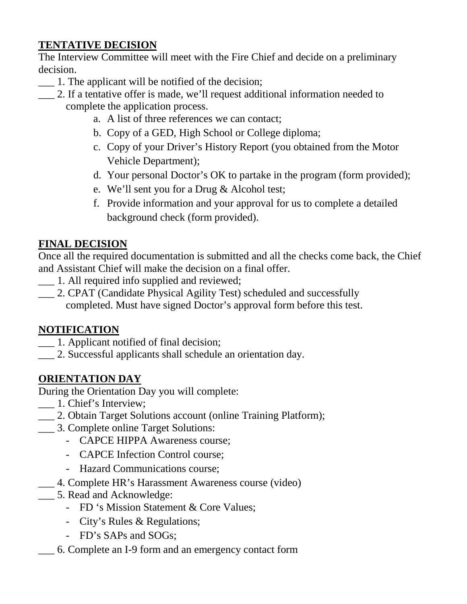## **TENTATIVE DECISION**

The Interview Committee will meet with the Fire Chief and decide on a preliminary decision.

- \_\_\_ 1. The applicant will be notified of the decision;
- 2. If a tentative offer is made, we'll request additional information needed to complete the application process.
	- a. A list of three references we can contact;
	- b. Copy of a GED, High School or College diploma;
	- c. Copy of your Driver's History Report (you obtained from the Motor Vehicle Department);
	- d. Your personal Doctor's OK to partake in the program (form provided);
	- e. We'll sent you for a Drug & Alcohol test;
	- f. Provide information and your approval for us to complete a detailed background check (form provided).

#### **FINAL DECISION**

Once all the required documentation is submitted and all the checks come back, the Chief and Assistant Chief will make the decision on a final offer.

- \_\_\_ 1. All required info supplied and reviewed;
- \_\_\_ 2. CPAT (Candidate Physical Agility Test) scheduled and successfully completed. Must have signed Doctor's approval form before this test.

#### **NOTIFICATION**

- \_\_\_ 1. Applicant notified of final decision;
- \_\_\_ 2. Successful applicants shall schedule an orientation day.

#### **ORIENTATION DAY**

During the Orientation Day you will complete:

- \_\_\_ 1. Chief's Interview;
- \_\_\_ 2. Obtain Target Solutions account (online Training Platform);
- \_\_\_ 3. Complete online Target Solutions:
	- CAPCE HIPPA Awareness course;
	- CAPCE Infection Control course;
	- Hazard Communications course;
- \_\_\_ 4. Complete HR's Harassment Awareness course (video)
- \_\_\_ 5. Read and Acknowledge:
	- FD 's Mission Statement & Core Values;
	- City's Rules & Regulations;
	- FD's SAPs and SOGs;
- \_\_\_ 6. Complete an I-9 form and an emergency contact form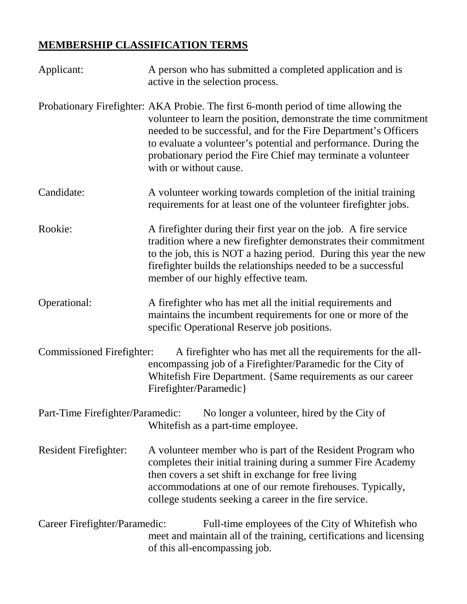# **MEMBERSHIP CLASSIFICATION TERMS**

| Applicant:                                                                                                            | A person who has submitted a completed application and is<br>active in the selection process.                                                                                                                                                                                                                                                                                           |
|-----------------------------------------------------------------------------------------------------------------------|-----------------------------------------------------------------------------------------------------------------------------------------------------------------------------------------------------------------------------------------------------------------------------------------------------------------------------------------------------------------------------------------|
|                                                                                                                       | Probationary Firefighter: AKA Probie. The first 6-month period of time allowing the<br>volunteer to learn the position, demonstrate the time commitment<br>needed to be successful, and for the Fire Department's Officers<br>to evaluate a volunteer's potential and performance. During the<br>probationary period the Fire Chief may terminate a volunteer<br>with or without cause. |
| Candidate:                                                                                                            | A volunteer working towards completion of the initial training<br>requirements for at least one of the volunteer firefighter jobs.                                                                                                                                                                                                                                                      |
| Rookie:                                                                                                               | A fire fighter during their first year on the job. A fire service<br>tradition where a new firefighter demonstrates their commitment<br>to the job, this is NOT a hazing period. During this year the new<br>firefighter builds the relationships needed to be a successful<br>member of our highly effective team.                                                                     |
| Operational:                                                                                                          | A firefighter who has met all the initial requirements and<br>maintains the incumbent requirements for one or more of the<br>specific Operational Reserve job positions.                                                                                                                                                                                                                |
| Commissioned Firefighter:                                                                                             | A fire fighter who has met all the requirements for the all-<br>encompassing job of a Firefighter/Paramedic for the City of<br>Whitefish Fire Department. {Same requirements as our career<br>Firefighter/Paramedic}                                                                                                                                                                    |
| Part-Time Firefighter/Paramedic:<br>No longer a volunteer, hired by the City of<br>Whitefish as a part-time employee. |                                                                                                                                                                                                                                                                                                                                                                                         |
| <b>Resident Firefighter:</b>                                                                                          | A volunteer member who is part of the Resident Program who<br>completes their initial training during a summer Fire Academy<br>then covers a set shift in exchange for free living<br>accommodations at one of our remote firehouses. Typically,<br>college students seeking a career in the fire service.                                                                              |
| Career Firefighter/Paramedic:                                                                                         | Full-time employees of the City of Whitefish who<br>meet and maintain all of the training, certifications and licensing<br>of this all-encompassing job.                                                                                                                                                                                                                                |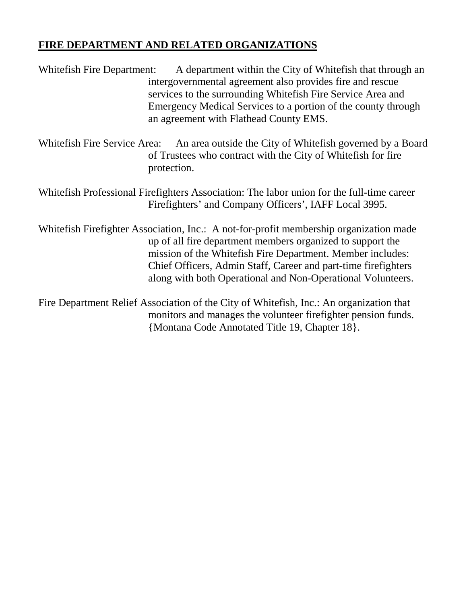#### **FIRE DEPARTMENT AND RELATED ORGANIZATIONS**

Whitefish Fire Department: A department within the City of Whitefish that through an intergovernmental agreement also provides fire and rescue services to the surrounding Whitefish Fire Service Area and Emergency Medical Services to a portion of the county through an agreement with Flathead County EMS.

Whitefish Fire Service Area: An area outside the City of Whitefish governed by a Board of Trustees who contract with the City of Whitefish for fire protection.

Whitefish Professional Firefighters Association: The labor union for the full-time career Firefighters' and Company Officers', IAFF Local 3995.

Whitefish Firefighter Association, Inc.: A not-for-profit membership organization made up of all fire department members organized to support the mission of the Whitefish Fire Department. Member includes: Chief Officers, Admin Staff, Career and part-time firefighters along with both Operational and Non-Operational Volunteers.

Fire Department Relief Association of the City of Whitefish, Inc.: An organization that monitors and manages the volunteer firefighter pension funds. {Montana Code Annotated Title 19, Chapter 18}.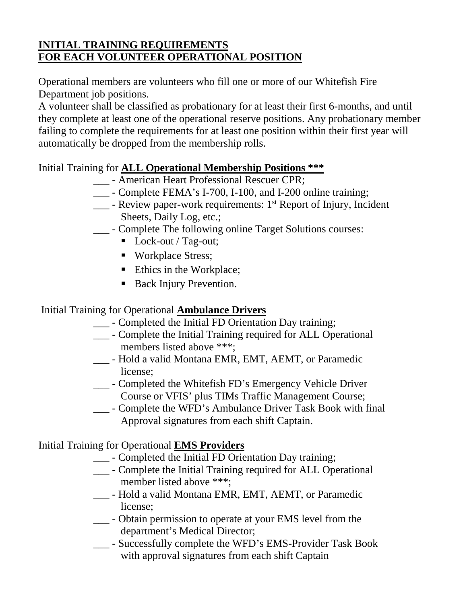#### **INITIAL TRAINING REQUIREMENTS FOR EACH VOLUNTEER OPERATIONAL POSITION**

Operational members are volunteers who fill one or more of our Whitefish Fire Department job positions.

A volunteer shall be classified as probationary for at least their first 6-months, and until they complete at least one of the operational reserve positions. Any probationary member failing to complete the requirements for at least one position within their first year will automatically be dropped from the membership rolls.

#### Initial Training for **ALL Operational Membership Positions \*\*\***

- \_\_\_ American Heart Professional Rescuer CPR;
- \_\_\_ Complete FEMA's I-700, I-100, and I-200 online training;
- $\frac{1}{10}$  Review paper-work requirements:  $1^{st}$  Report of Injury, Incident Sheets, Daily Log, etc.;
- \_\_\_ Complete The following online Target Solutions courses:
	- Lock-out / Tag-out;
	- Workplace Stress;
	- Ethics in the Workplace;
	- Back Injury Prevention.

#### Initial Training for Operational **Ambulance Drivers**

- \_\_\_ Completed the Initial FD Orientation Day training;
- \_\_\_ Complete the Initial Training required for ALL Operational members listed above \*\*\*;
- \_\_\_ Hold a valid Montana EMR, EMT, AEMT, or Paramedic license;
- \_\_\_ Completed the Whitefish FD's Emergency Vehicle Driver Course or VFIS' plus TIMs Traffic Management Course;
- \_\_\_ Complete the WFD's Ambulance Driver Task Book with final Approval signatures from each shift Captain.

#### Initial Training for Operational **EMS Providers**

- \_\_\_ Completed the Initial FD Orientation Day training;
- \_\_\_ Complete the Initial Training required for ALL Operational member listed above \*\*\*;
- \_\_\_ Hold a valid Montana EMR, EMT, AEMT, or Paramedic license;
- \_\_\_ Obtain permission to operate at your EMS level from the department's Medical Director;
- \_\_\_ Successfully complete the WFD's EMS-Provider Task Book with approval signatures from each shift Captain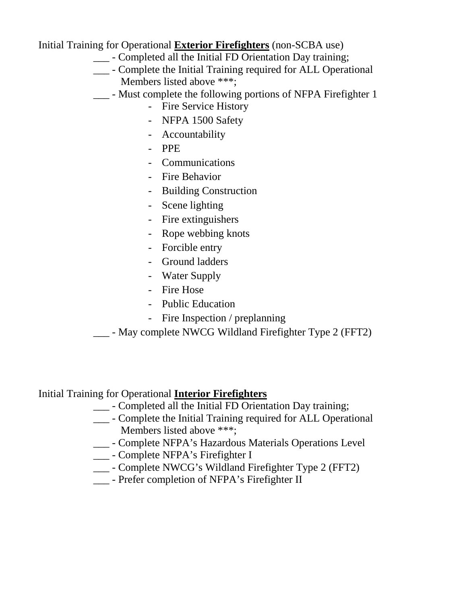Initial Training for Operational **Exterior Firefighters** (non-SCBA use)

- \_\_\_ Completed all the Initial FD Orientation Day training;
- \_\_\_ Complete the Initial Training required for ALL Operational Members listed above \*\*\*;
- \_\_\_ Must complete the following portions of NFPA Firefighter 1
	- Fire Service History
	- NFPA 1500 Safety
	- Accountability
	- PPE
	- Communications
	- Fire Behavior
	- Building Construction
	- Scene lighting
	- Fire extinguishers
	- Rope webbing knots
	- Forcible entry
	- Ground ladders
	- Water Supply
	- Fire Hose
	- Public Education
	- Fire Inspection / preplanning
- \_\_\_ May complete NWCG Wildland Firefighter Type 2 (FFT2)

#### Initial Training for Operational **Interior Firefighters**

- \_\_\_ Completed all the Initial FD Orientation Day training;
- \_\_\_ Complete the Initial Training required for ALL Operational Members listed above \*\*\*;
- \_\_\_ Complete NFPA's Hazardous Materials Operations Level
- \_\_\_ Complete NFPA's Firefighter I
- \_\_\_ Complete NWCG's Wildland Firefighter Type 2 (FFT2)
- \_\_\_ Prefer completion of NFPA's Firefighter II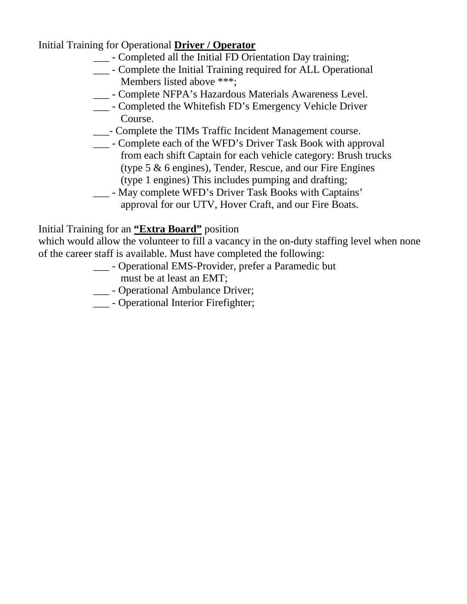Initial Training for Operational **Driver / Operator**

- \_\_\_ Completed all the Initial FD Orientation Day training;
- \_\_\_ Complete the Initial Training required for ALL Operational Members listed above \*\*\*;
- \_\_\_ Complete NFPA's Hazardous Materials Awareness Level.
- \_\_\_ Completed the Whitefish FD's Emergency Vehicle Driver Course.
- \_\_\_- Complete the TIMs Traffic Incident Management course.
- \_\_\_ Complete each of the WFD's Driver Task Book with approval from each shift Captain for each vehicle category: Brush trucks (type 5 & 6 engines), Tender, Rescue, and our Fire Engines (type 1 engines) This includes pumping and drafting;
- \_\_\_ May complete WFD's Driver Task Books with Captains' approval for our UTV, Hover Craft, and our Fire Boats.

#### Initial Training for an **"Extra Board"** position

which would allow the volunteer to fill a vacancy in the on-duty staffing level when none of the career staff is available. Must have completed the following:

- \_\_\_ Operational EMS-Provider, prefer a Paramedic but must be at least an EMT;
- \_\_\_ Operational Ambulance Driver;
- \_\_\_ Operational Interior Firefighter;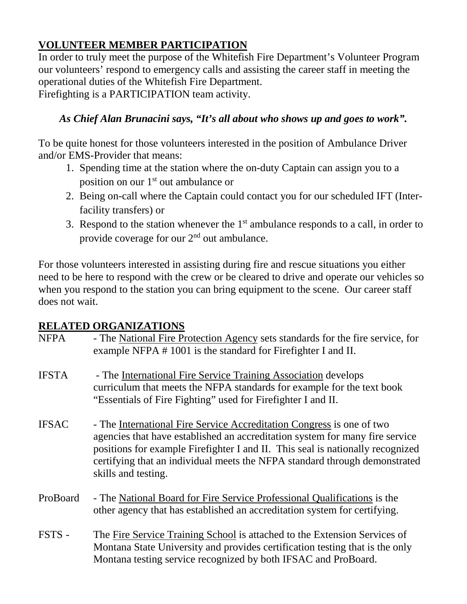# **VOLUNTEER MEMBER PARTICIPATION**

In order to truly meet the purpose of the Whitefish Fire Department's Volunteer Program our volunteers' respond to emergency calls and assisting the career staff in meeting the operational duties of the Whitefish Fire Department.

Firefighting is a PARTICIPATION team activity.

### *As Chief Alan Brunacini says, "It's all about who shows up and goes to work".*

To be quite honest for those volunteers interested in the position of Ambulance Driver and/or EMS-Provider that means:

- 1. Spending time at the station where the on-duty Captain can assign you to a position on our 1st out ambulance or
- 2. Being on-call where the Captain could contact you for our scheduled IFT (Interfacility transfers) or
- 3. Respond to the station whenever the  $1<sup>st</sup>$  ambulance responds to a call, in order to provide coverage for our 2nd out ambulance.

For those volunteers interested in assisting during fire and rescue situations you either need to be here to respond with the crew or be cleared to drive and operate our vehicles so when you respond to the station you can bring equipment to the scene. Our career staff does not wait.

#### **RELATED ORGANIZATIONS**

| <b>NFPA</b>  | - The National Fire Protection Agency sets standards for the fire service, for<br>example NFPA #1001 is the standard for Firefighter I and II.                                                                                                                                                                                               |
|--------------|----------------------------------------------------------------------------------------------------------------------------------------------------------------------------------------------------------------------------------------------------------------------------------------------------------------------------------------------|
| <b>IFSTA</b> | - The International Fire Service Training Association develops<br>curriculum that meets the NFPA standards for example for the text book<br>"Essentials of Fire Fighting" used for Firefighter I and II.                                                                                                                                     |
| <b>IFSAC</b> | - The International Fire Service Accreditation Congress is one of two<br>agencies that have established an accreditation system for many fire service<br>positions for example Firefighter I and II. This seal is nationally recognized<br>certifying that an individual meets the NFPA standard through demonstrated<br>skills and testing. |
| ProBoard     | - The National Board for Fire Service Professional Qualifications is the<br>other agency that has established an accreditation system for certifying.                                                                                                                                                                                        |
| FSTS -       | The Fire Service Training School is attached to the Extension Services of<br>Montana State University and provides certification testing that is the only<br>Montana testing service recognized by both IFSAC and ProBoard.                                                                                                                  |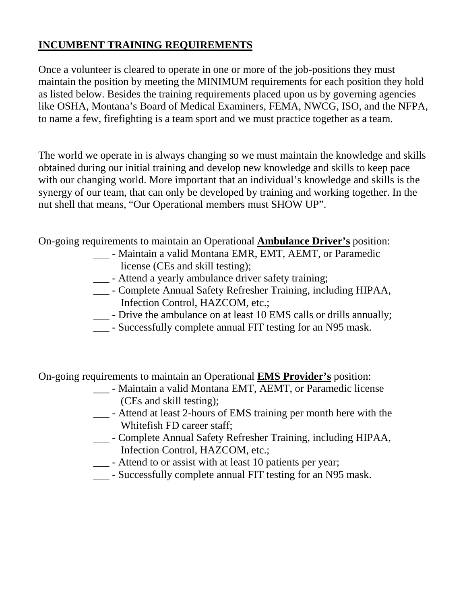#### **INCUMBENT TRAINING REQUIREMENTS**

Once a volunteer is cleared to operate in one or more of the job-positions they must maintain the position by meeting the MINIMUM requirements for each position they hold as listed below. Besides the training requirements placed upon us by governing agencies like OSHA, Montana's Board of Medical Examiners, FEMA, NWCG, ISO, and the NFPA, to name a few, firefighting is a team sport and we must practice together as a team.

The world we operate in is always changing so we must maintain the knowledge and skills obtained during our initial training and develop new knowledge and skills to keep pace with our changing world. More important that an individual's knowledge and skills is the synergy of our team, that can only be developed by training and working together. In the nut shell that means, "Our Operational members must SHOW UP".

On-going requirements to maintain an Operational **Ambulance Driver's** position:

- \_\_\_ Maintain a valid Montana EMR, EMT, AEMT, or Paramedic license (CEs and skill testing);
- \_\_\_ Attend a yearly ambulance driver safety training;
- \_\_\_ Complete Annual Safety Refresher Training, including HIPAA, Infection Control, HAZCOM, etc.;
- \_\_\_ Drive the ambulance on at least 10 EMS calls or drills annually;
- \_\_\_ Successfully complete annual FIT testing for an N95 mask.

On-going requirements to maintain an Operational **EMS Provider's** position:

- \_\_\_ Maintain a valid Montana EMT, AEMT, or Paramedic license (CEs and skill testing);
- \_\_\_ Attend at least 2-hours of EMS training per month here with the Whitefish FD career staff;
- \_\_\_ Complete Annual Safety Refresher Training, including HIPAA, Infection Control, HAZCOM, etc.;
- \_\_\_ Attend to or assist with at least 10 patients per year;
- \_\_\_ Successfully complete annual FIT testing for an N95 mask.